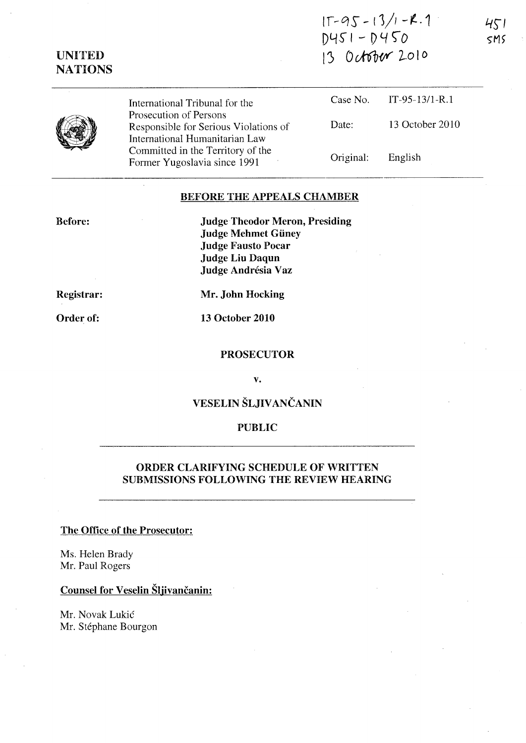|             | $15-95-13/1 - R.1$ |  |  |  |
|-------------|--------------------|--|--|--|
| D451 - D450 |                    |  |  |  |
|             | 13 October 2010    |  |  |  |

451  $SMS$ 

|  | International Tribunal for the                                                                    |           | Case No. IT-95-13/1-R.1 |
|--|---------------------------------------------------------------------------------------------------|-----------|-------------------------|
|  | Prosecution of Persons<br>Responsible for Serious Violations of<br>International Humanitarian Law | Date:     | 13 October 2010         |
|  | Committed in the Territory of the<br>Former Yugoslavia since 1991                                 | Original: | English                 |

## BEFORE THE APPEALS CHAMBER

Before:

 $\ddot{\phantom{a}}$ 

UNITED **NATIONS** 

> Judge Theodor Meron, Presiding Judge Mehmet Güney Judge Fausto Pocar Judge Liu Daqun Judge Andrésia Vaz

Registrar:

Mr. John Hocking

Order of:

13 October 2010

#### PROSECUTOR

v.

# VESELIN ŠLJIVANČANIN

## PUBLIC

## ORDER CLARIFYING SCHEDULE OF WRITTEN SUBMISSIONS FOLLOWING THE REVIEW HEARING

## The Office of the Prosecutor:

Ms. Helen Brady Mr. Paul Rogers

## Counsel for Veselin Šljivančanin:

Mr. Novak Lukić Mr. Stéphane Bourgon